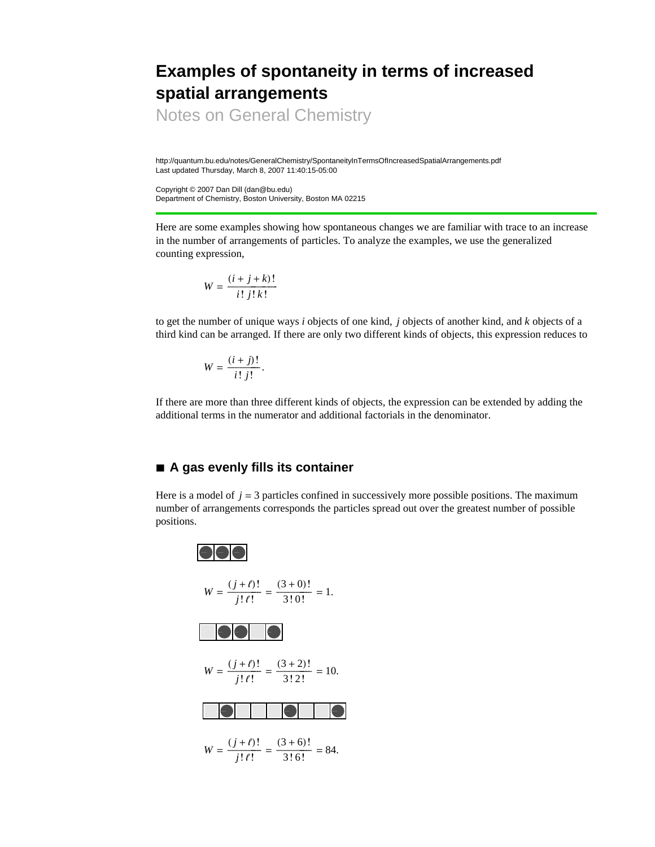# **Examples of spontaneity in terms of increased spatial arrangements**

Notes on General Chemistry

http://quantum.bu.edu/notes/GeneralChemistry/SpontaneityInTermsOfIncreasedSpatialArrangements.pdf Last updated Thursday, March 8, 2007 11:40:15-05:00

Copyright © 2007 Dan Dill (dan@bu.edu) Department of Chemistry, Boston University, Boston MA 02215

Here are some examples showing how spontaneous changes we are familiar with trace to an increase in the number of arrangements of particles. To analyze the examples, we use the generalized counting expression,

$$
W = \frac{(i+j+k)!}{i! \; j! \; k!}
$$

to get the number of unique ways *i* objects of one kind, *j* objects of another kind, and *k* objects of a third kind can be arranged. If there are only two different kinds of objects, this expression reduces to

$$
W = \frac{(i+j)!}{i!j!}.
$$

If there are more than three different kinds of objects, the expression can be extended by adding the additional terms in the numerator and additional factorials in the denominator.

## **à A gas evenly fills its container**

Here is a model of  $j = 3$  particles confined in successively more possible positions. The maximum number of arrangements corresponds the particles spread out over the greatest number of possible positions.

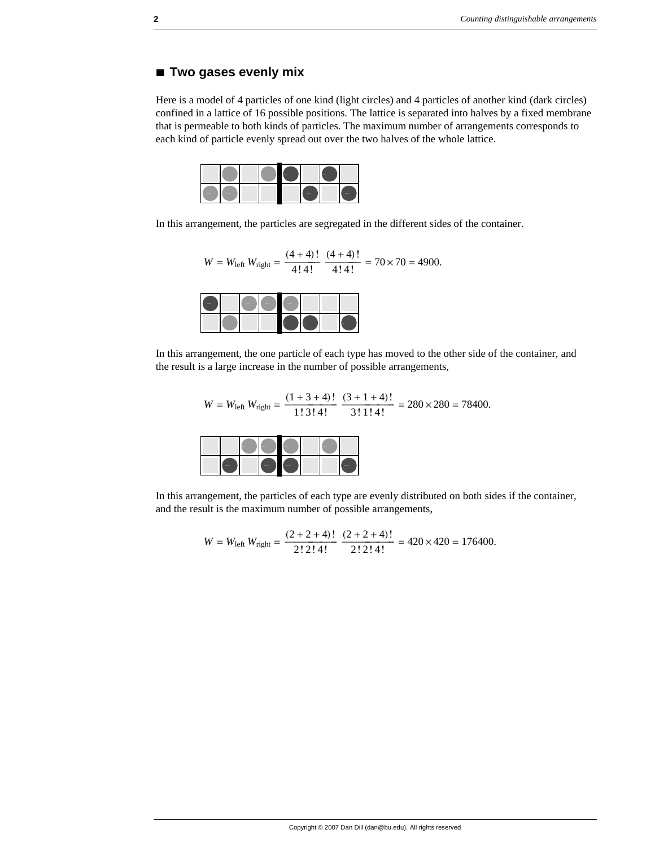### **à Two gases evenly mix**

Here is a model of 4 particles of one kind (light circles) and 4 particles of another kind (dark circles) confined in a lattice of 16 possible positions. The lattice is separated into halves by a fixed membrane that is permeable to both kinds of particles. The maximum number of arrangements corresponds to each kind of particle evenly spread out over the two halves of the whole lattice.

In this arrangement, the particles are segregated in the different sides of the container.

$$
W = W_{\text{left}} W_{\text{right}} = \frac{(4+4)!}{4!4!} \frac{(4+4)!}{4!4!} = 70 \times 70 = 4900.
$$

In this arrangement, the one particle of each type has moved to the other side of the container, and the result is a large increase in the number of possible arrangements,

$$
W = W_{\text{left}} W_{\text{right}} = \frac{(1+3+4)!}{1! \cdot 3! \cdot 4!} \cdot \frac{(3+1+4)!}{3! \cdot 1! \cdot 4!} = 280 \times 280 = 78400.
$$

In this arrangement, the particles of each type are evenly distributed on both sides if the container, and the result is the maximum number of possible arrangements,

$$
W = W_{\text{left}} W_{\text{right}} = \frac{(2 + 2 + 4)!}{2! \cdot 2! \cdot 4!} \cdot \frac{(2 + 2 + 4)!}{2! \cdot 2! \cdot 4!} = 420 \times 420 = 176400.
$$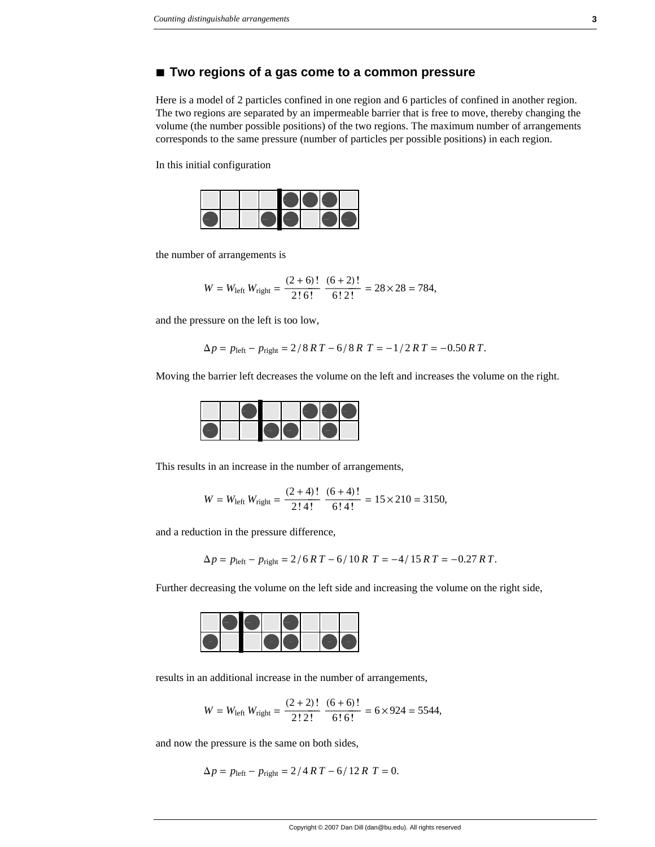#### **à Two regions of a gas come to a common pressure**

Here is a model of 2 particles confined in one region and 6 particles of confined in another region. The two regions are separated by an impermeable barrier that is free to move, thereby changing the volume (the number possible positions) of the two regions. The maximum number of arrangements corresponds to the same pressure (number of particles per possible positions) in each region.

In this initial configuration



the number of arrangements is

$$
W = W_{\text{left}} W_{\text{right}} = \frac{(2+6)!}{2! \cdot 6!} \cdot \frac{(6+2)!}{6! \cdot 2!} = 28 \times 28 = 784,
$$

and the pressure on the left is too low,

$$
\Delta p = p_{\text{left}} - p_{\text{right}} = 2/8 \, RT - 6/8 \, R \, T = -1/2 \, RT = -0.50 \, RT.
$$

Moving the barrier left decreases the volume on the left and increases the volume on the right.



This results in an increase in the number of arrangements,

$$
W = W_{\text{left}} W_{\text{right}} = \frac{(2+4)!}{2!4!} \frac{(6+4)!}{6!4!} = 15 \times 210 = 3150,
$$

and a reduction in the pressure difference,

$$
\Delta p = p_{\text{left}} - p_{\text{right}} = 2/6RT - 6/10RT = -4/15RT = -0.27RT.
$$

Further decreasing the volume on the left side and increasing the volume on the right side,

results in an additional increase in the number of arrangements,

$$
W = W_{\text{left}} W_{\text{right}} = \frac{(2+2)!}{2! \cdot 2!} \cdot \frac{(6+6)!}{6! \cdot 6!} = 6 \times 924 = 5544,
$$

and now the pressure is the same on both sides,

$$
\Delta p = p_{\text{left}} - p_{\text{right}} = 2/4RT - 6/12RT = 0.
$$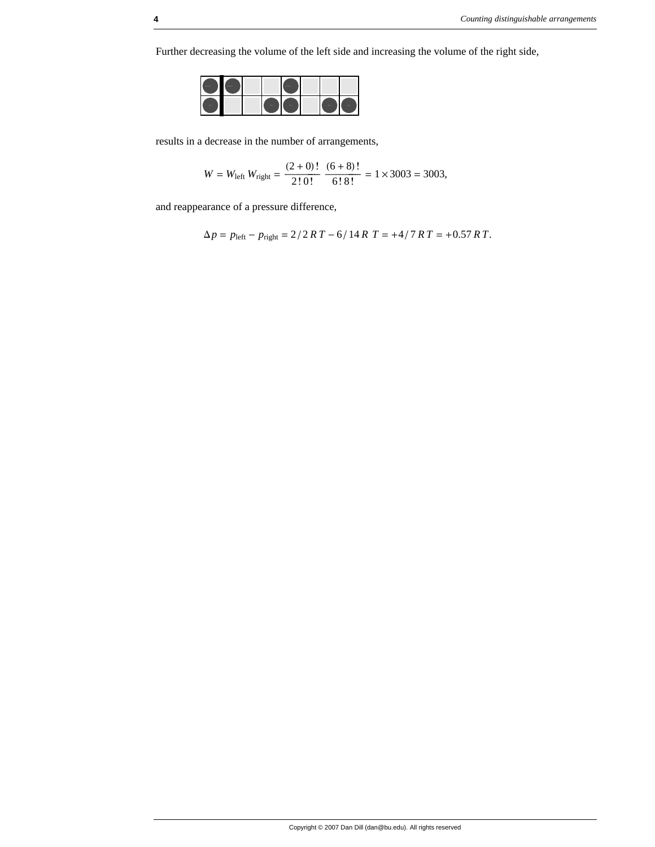Further decreasing the volume of the left side and increasing the volume of the right side,



results in a decrease in the number of arrangements,

$$
W = W_{\text{left}} W_{\text{right}} = \frac{(2+0)!}{2! \cdot 0!} \cdot \frac{(6+8)!}{6! \cdot 8!} = 1 \times 3003 = 3003,
$$

and reappearance of a pressure difference,

$$
\Delta p = p_{\text{left}} - p_{\text{right}} = 2/2RT - 6/14RT = +4/7RT = +0.57RT.
$$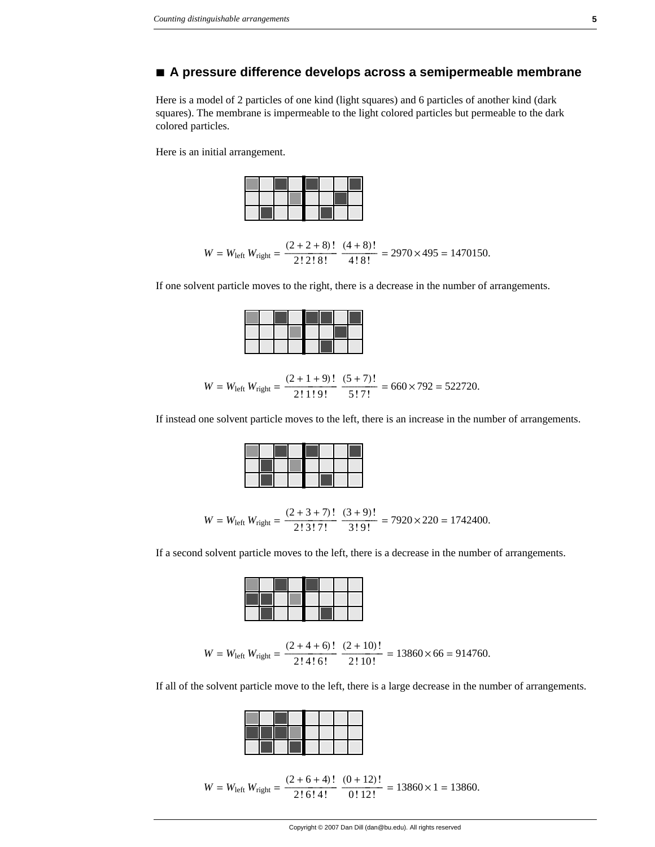#### **à A pressure difference develops across a semipermeable membrane**

Here is a model of 2 particles of one kind (light squares) and 6 particles of another kind (dark squares). The membrane is impermeable to the light colored particles but permeable to the dark colored particles.

Here is an initial arrangement.



$$
W = W_{\text{left}} W_{\text{right}} = \frac{(2 + 2 + 8)!}{2! \cdot 2! \cdot 8!} \cdot \frac{(4 + 8)!}{4! \cdot 8!} = 2970 \times 495 = 1470150.
$$

If one solvent particle moves to the right, there is a decrease in the number of arrangements.

$$
W = W_{\text{left}} W_{\text{right}} = \frac{(2 + 1 + 9)!}{2! \cdot 1! \cdot 9!} \cdot \frac{(5 + 7)!}{5! \cdot 7!} = 660 \times 792 = 522720.
$$

If instead one solvent particle moves to the left, there is an increase in the number of arrangements.

$$
W = W_{\text{left}} W_{\text{right}} = \frac{(2 + 3 + 7)!}{2! \cdot 3! \cdot 7!} \cdot \frac{(3 + 9)!}{3! \cdot 9!} = 7920 \times 220 = 1742400.
$$

If a second solvent particle moves to the left, there is a decrease in the number of arrangements.

$$
W = W_{\text{left}} W_{\text{right}} = \frac{(2 + 4 + 6)!}{2! \cdot 4! \cdot 6!} \cdot \frac{(2 + 10)!}{2! \cdot 10!} = 13860 \times 66 = 914760.
$$

If all of the solvent particle move to the left, there is a large decrease in the number of arrangements.

$$
W = W_{\text{left}} W_{\text{right}} = \frac{(2 + 6 + 4)!}{2! \cdot 6! \cdot 4!} \cdot \frac{(0 + 12)!}{0! \cdot 12!} = 13860 \times 1 = 13860.
$$